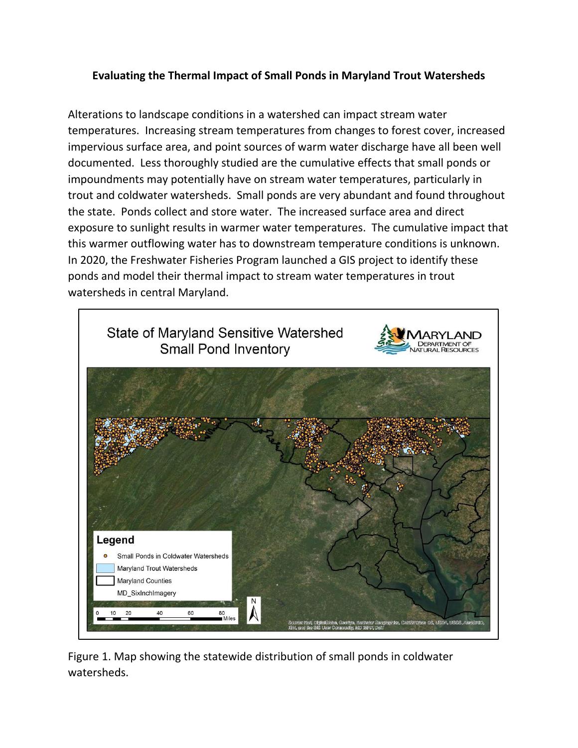# **Evaluating the Thermal Impact of Small Ponds in Maryland Trout Watersheds**

Alterations to landscape conditions in a watershed can impact stream water temperatures. Increasing stream temperatures from changes to forest cover, increased impervious surface area, and point sources of warm water discharge have all been well documented. Less thoroughly studied are the cumulative effects that small ponds or impoundments may potentially have on stream water temperatures, particularly in trout and coldwater watersheds. Small ponds are very abundant and found throughout the state. Ponds collect and store water. The increased surface area and direct exposure to sunlight results in warmer water temperatures. The cumulative impact that this warmer outflowing water has to downstream temperature conditions is unknown. In 2020, the Freshwater Fisheries Program launched a GIS project to identify these ponds and model their thermal impact to stream water temperatures in trout watersheds in central Maryland.



Figure 1. Map showing the statewide distribution of small ponds in coldwater watersheds.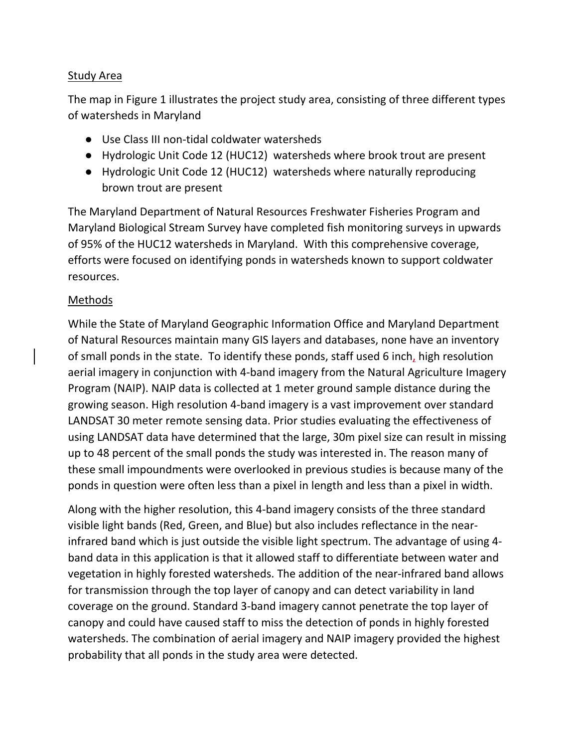### Study Area

The map in Figure 1 illustrates the project study area, consisting of three different types of watersheds in Maryland

- Use Class III non-tidal coldwater watersheds
- Hydrologic Unit Code 12 (HUC12) watersheds where brook trout are present
- Hydrologic Unit Code 12 (HUC12) watersheds where naturally reproducing brown trout are present

The Maryland Department of Natural Resources Freshwater Fisheries Program and Maryland Biological Stream Survey have completed fish monitoring surveys in upwards of 95% of the HUC12 watersheds in Maryland. With this comprehensive coverage, efforts were focused on identifying ponds in watersheds known to support coldwater resources.

## Methods

While the State of Maryland Geographic Information Office and Maryland Department of Natural Resources maintain many GIS layers and databases, none have an inventory of small ponds in the state. To identify these ponds, staff used 6 inch, high resolution aerial imagery in conjunction with 4-band imagery from the Natural Agriculture Imagery Program (NAIP). NAIP data is collected at 1 meter ground sample distance during the growing season. High resolution 4-band imagery is a vast improvement over standard LANDSAT 30 meter remote sensing data. Prior studies evaluating the effectiveness of using LANDSAT data have determined that the large, 30m pixel size can result in missing up to 48 percent of the small ponds the study was interested in. The reason many of these small impoundments were overlooked in previous studies is because many of the ponds in question were often less than a pixel in length and less than a pixel in width.

Along with the higher resolution, this 4-band imagery consists of the three standard visible light bands (Red, Green, and Blue) but also includes reflectance in the nearinfrared band which is just outside the visible light spectrum. The advantage of using 4 band data in this application is that it allowed staff to differentiate between water and vegetation in highly forested watersheds. The addition of the near-infrared band allows for transmission through the top layer of canopy and can detect variability in land coverage on the ground. Standard 3-band imagery cannot penetrate the top layer of canopy and could have caused staff to miss the detection of ponds in highly forested watersheds. The combination of aerial imagery and NAIP imagery provided the highest probability that all ponds in the study area were detected.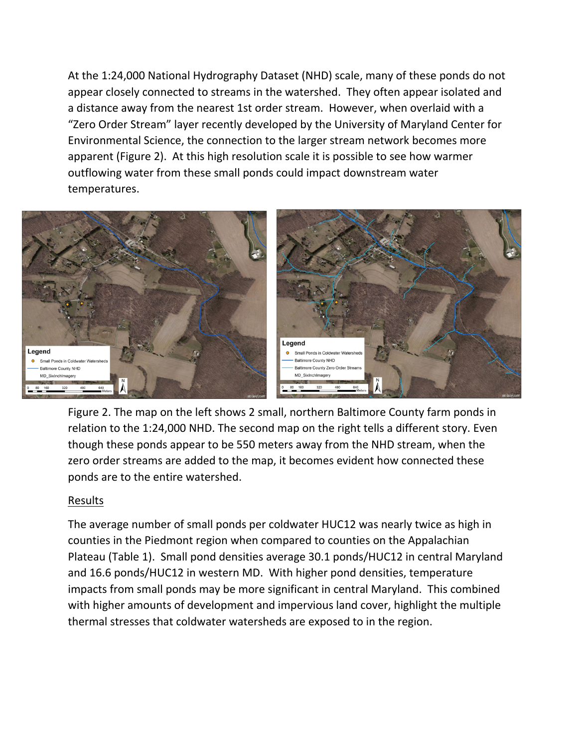At the 1:24,000 National Hydrography Dataset (NHD) scale, many of these ponds do not appear closely connected to streams in the watershed. They often appear isolated and a distance away from the nearest 1st order stream. However, when overlaid with a "Zero Order Stream" layer recently developed by the University of Maryland Center for Environmental Science, the connection to the larger stream network becomes more apparent (Figure 2). At this high resolution scale it is possible to see how warmer outflowing water from these small ponds could impact downstream water temperatures.



Figure 2. The map on the left shows 2 small, northern Baltimore County farm ponds in relation to the 1:24,000 NHD. The second map on the right tells a different story. Even though these ponds appear to be 550 meters away from the NHD stream, when the zero order streams are added to the map, it becomes evident how connected these ponds are to the entire watershed.

#### Results

The average number of small ponds per coldwater HUC12 was nearly twice as high in counties in the Piedmont region when compared to counties on the Appalachian Plateau (Table 1). Small pond densities average 30.1 ponds/HUC12 in central Maryland and 16.6 ponds/HUC12 in western MD. With higher pond densities, temperature impacts from small ponds may be more significant in central Maryland. This combined with higher amounts of development and impervious land cover, highlight the multiple thermal stresses that coldwater watersheds are exposed to in the region.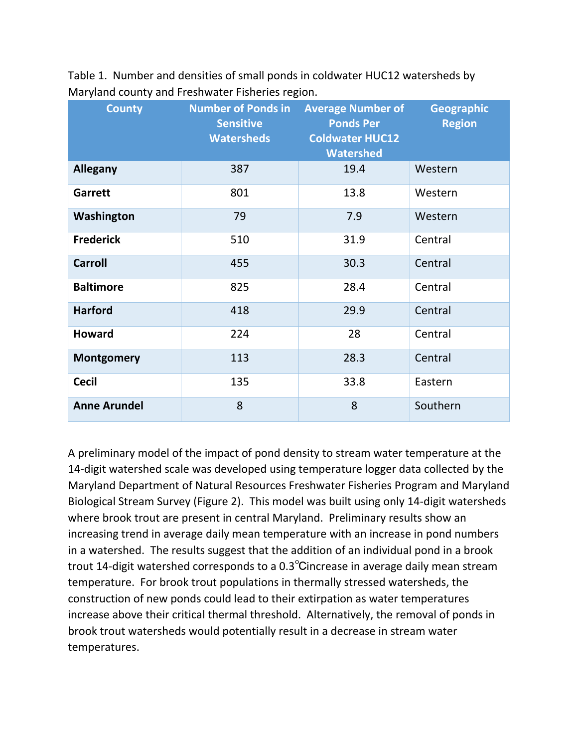| <b>County</b>       | <b>Number of Ponds in</b><br><b>Sensitive</b><br><b>Watersheds</b> | <b>Average Number of</b><br><b>Ponds Per</b><br><b>Coldwater HUC12</b><br><b>Watershed</b> | <b>Geographic</b><br><b>Region</b> |
|---------------------|--------------------------------------------------------------------|--------------------------------------------------------------------------------------------|------------------------------------|
| <b>Allegany</b>     | 387                                                                | 19.4                                                                                       | Western                            |
| Garrett             | 801                                                                | 13.8                                                                                       | Western                            |
| Washington          | 79                                                                 | 7.9                                                                                        | Western                            |
| <b>Frederick</b>    | 510                                                                | 31.9                                                                                       | Central                            |
| <b>Carroll</b>      | 455                                                                | 30.3                                                                                       | Central                            |
| <b>Baltimore</b>    | 825                                                                | 28.4                                                                                       | Central                            |
| <b>Harford</b>      | 418                                                                | 29.9                                                                                       | Central                            |
| <b>Howard</b>       | 224                                                                | 28                                                                                         | Central                            |
| <b>Montgomery</b>   | 113                                                                | 28.3                                                                                       | Central                            |
| <b>Cecil</b>        | 135                                                                | 33.8                                                                                       | Eastern                            |
| <b>Anne Arundel</b> | 8                                                                  | 8                                                                                          | Southern                           |

Table 1. Number and densities of small ponds in coldwater HUC12 watersheds by Maryland county and Freshwater Fisheries region.

A preliminary model of the impact of pond density to stream water temperature at the 14-digit watershed scale was developed using temperature logger data collected by the Maryland Department of Natural Resources Freshwater Fisheries Program and Maryland Biological Stream Survey (Figure 2). This model was built using only 14-digit watersheds where brook trout are present in central Maryland. Preliminary results show an increasing trend in average daily mean temperature with an increase in pond numbers in a watershed. The results suggest that the addition of an individual pond in a brook trout 14-digit watershed corresponds to a 0.3℃increase in average daily mean stream temperature. For brook trout populations in thermally stressed watersheds, the construction of new ponds could lead to their extirpation as water temperatures increase above their critical thermal threshold. Alternatively, the removal of ponds in brook trout watersheds would potentially result in a decrease in stream water temperatures.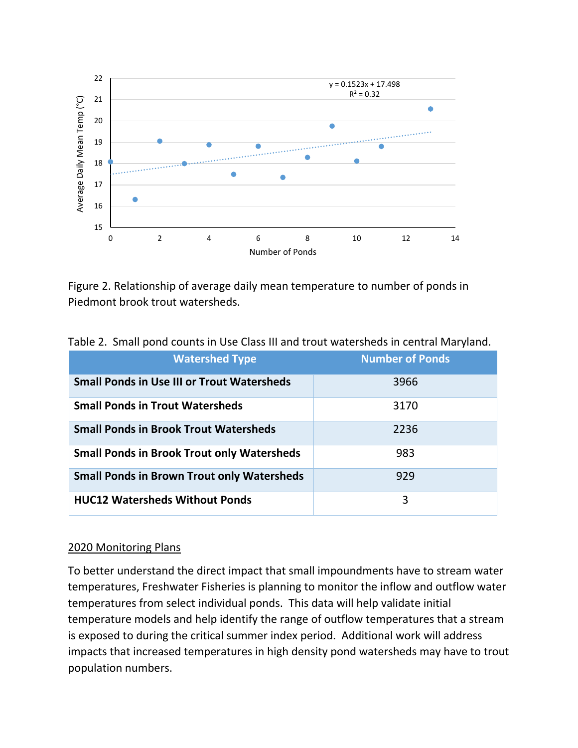

Figure 2. Relationship of average daily mean temperature to number of ponds in Piedmont brook trout watersheds.

| <b>Watershed Type</b>                             | <b>Number of Ponds</b> |  |  |
|---------------------------------------------------|------------------------|--|--|
| <b>Small Ponds in Use III or Trout Watersheds</b> | 3966                   |  |  |
| <b>Small Ponds in Trout Watersheds</b>            | 3170                   |  |  |
| <b>Small Ponds in Brook Trout Watersheds</b>      | 2236                   |  |  |
| <b>Small Ponds in Brook Trout only Watersheds</b> | 983                    |  |  |
| <b>Small Ponds in Brown Trout only Watersheds</b> | 929                    |  |  |
| <b>HUC12 Watersheds Without Ponds</b>             | 3                      |  |  |

# Table 2. Small pond counts in Use Class III and trout watersheds in central Maryland.

#### 2020 Monitoring Plans

To better understand the direct impact that small impoundments have to stream water temperatures, Freshwater Fisheries is planning to monitor the inflow and outflow water temperatures from select individual ponds. This data will help validate initial temperature models and help identify the range of outflow temperatures that a stream is exposed to during the critical summer index period. Additional work will address impacts that increased temperatures in high density pond watersheds may have to trout population numbers.